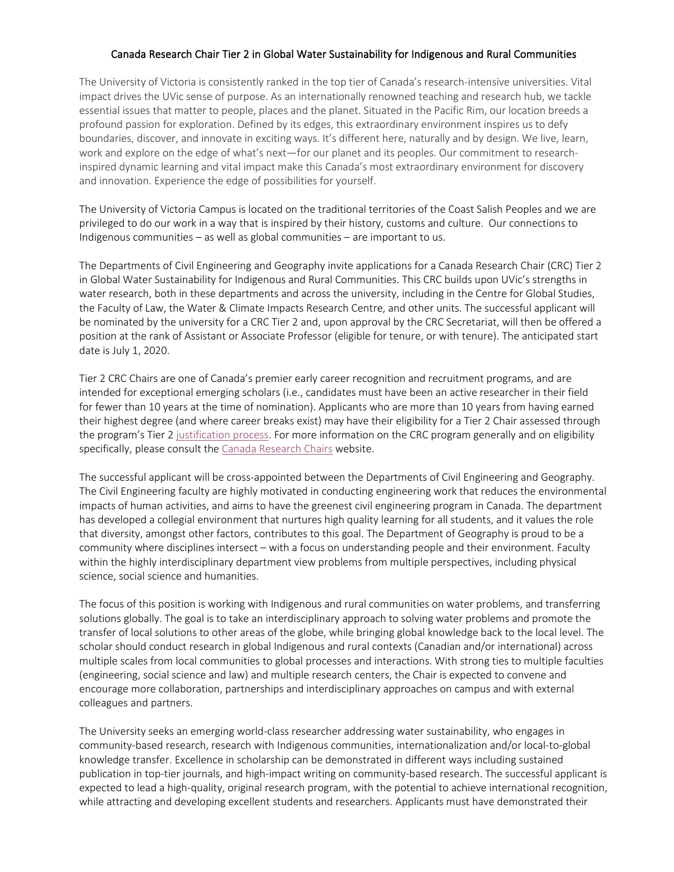## Canada Research Chair Tier 2 in Global Water Sustainability for Indigenous and Rural Communities

The University of Victoria is consistently ranked in the top tier of Canada's research-intensive universities. Vital impact drives the UVic sense of purpose. As an internationally renowned teaching and research hub, we tackle essential issues that matter to people, places and the planet. Situated in the Pacific Rim, our location breeds a profound passion for exploration. Defined by its edges, this extraordinary environment inspires us to defy boundaries, discover, and innovate in exciting ways. It's different here, naturally and by design. We live, learn, work and explore on the edge of what's next—for our planet and its peoples. Our commitment to researchinspired dynamic learning and vital impact make this Canada's most extraordinary environment for discovery and innovation. Experience the edge of possibilities for yourself.

The University of Victoria Campus is located on the traditional territories of the Coast Salish Peoples and we are privileged to do our work in a way that is inspired by their history, customs and culture. Our connections to Indigenous communities – as well as global communities – are important to us.

The Departments of Civil Engineering and Geography invite applications for a Canada Research Chair (CRC) Tier 2 in Global Water Sustainability for Indigenous and Rural Communities. This CRC builds upon UVic's strengths in water research, both in these departments and across the university, including in the Centre for Global Studies, the Faculty of Law, the Water & Climate Impacts Research Centre, and other units. The successful applicant will be nominated by the university for a CRC Tier 2 and, upon approval by the CRC Secretariat, will then be offered a position at the rank of Assistant or Associate Professor (eligible for tenure, or with tenure). The anticipated start date is July 1, 2020.

Tier 2 CRC Chairs are one of Canada's premier early career recognition and recruitment programs, and are intended for exceptional emerging scholars (i.e., candidates must have been an active researcher in their field for fewer than 10 years at the time of nomination). Applicants who are more than 10 years from having earned their highest degree (and where career breaks exist) may have their eligibility for a Tier 2 Chair assessed through the program's Tier 2 [justification process.](http://www.chairs-chaires.gc.ca/program-programme/nomination-mise_en_candidature-eng.aspx#s3) For more information on the CRC program generally and on eligibility specifically, please consult th[e Canada Research Chairs](http://www.chairs-chaires.gc.ca/program-programme/nomination-mise_en_candidature-eng.aspx) website.

The successful applicant will be cross-appointed between the Departments of Civil Engineering and Geography. The Civil Engineering faculty are highly motivated in conducting engineering work that reduces the environmental impacts of human activities, and aims to have the greenest civil engineering program in Canada. The department has developed a collegial environment that nurtures high quality learning for all students, and it values the role that diversity, amongst other factors, contributes to this goal. The Department of Geography is proud to be a community where disciplines intersect – with a focus on understanding people and their environment. Faculty within the highly interdisciplinary department view problems from multiple perspectives, including physical science, social science and humanities.

The focus of this position is working with Indigenous and rural communities on water problems, and transferring solutions globally. The goal is to take an interdisciplinary approach to solving water problems and promote the transfer of local solutions to other areas of the globe, while bringing global knowledge back to the local level. The scholar should conduct research in global Indigenous and rural contexts (Canadian and/or international) across multiple scales from local communities to global processes and interactions. With strong ties to multiple faculties (engineering, social science and law) and multiple research centers, the Chair is expected to convene and encourage more collaboration, partnerships and interdisciplinary approaches on campus and with external colleagues and partners.

The University seeks an emerging world-class researcher addressing water sustainability, who engages in community-based research, research with Indigenous communities, internationalization and/or local-to-global knowledge transfer. Excellence in scholarship can be demonstrated in different ways including sustained publication in top-tier journals, and high-impact writing on community-based research. The successful applicant is expected to lead a high-quality, original research program, with the potential to achieve international recognition, while attracting and developing excellent students and researchers. Applicants must have demonstrated their